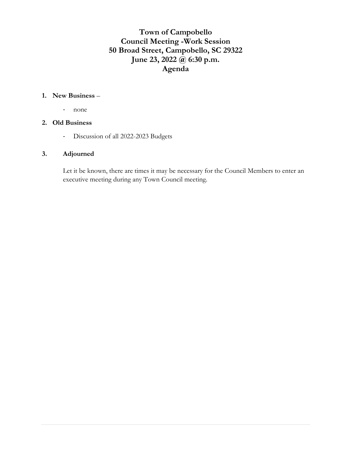# **Town of Campobello Council Meeting -Work Session 50 Broad Street, Campobello, SC 29322 June 23, 2022 @ 6:30 p.m. Agenda**

#### **1. New Business** –

- none

#### **2. Old Business**

- Discussion of all 2022-2023 Budgets

#### **3. Adjourned**

Let it be known, there are times it may be necessary for the Council Members to enter an executive meeting during any Town Council meeting.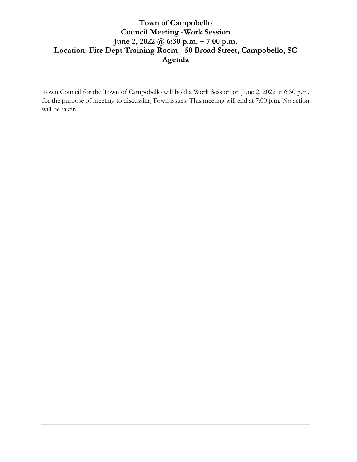# **Town of Campobello Council Meeting -Work Session June 2, 2022 @ 6:30 p.m. – 7:00 p.m. Location: Fire Dept Training Room - 50 Broad Street, Campobello, SC Agenda**

Town Council for the Town of Campobello will hold a Work Session on June 2, 2022 at 6:30 p.m. for the purpose of meeting to discussing Town issues. This meeting will end at 7:00 p.m. No action will be taken.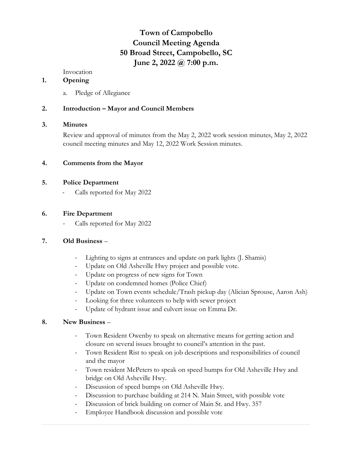# **Town of Campobello Council Meeting Agenda 50 Broad Street, Campobello, SC June 2, 2022 @ 7:00 p.m.**

Invocation

#### **1. Opening**

a. Pledge of Allegiance

#### **2. Introduction – Mayor and Council Members**

#### **3. Minutes**

Review and approval of minutes from the May 2, 2022 work session minutes, May 2, 2022 council meeting minutes and May 12, 2022 Work Session minutes.

#### **4. Comments from the Mayor**

#### **5. Police Department**

Calls reported for May 2022

#### **6. Fire Department**

Calls reported for May 2022

#### **7. Old Business** –

- Lighting to signs at entrances and update on park lights (J. Shamis)
- Update on Old Asheville Hwy project and possible vote.
- Update on progress of new signs for Town
- Update on condemned homes (Police Chief)
- Update on Town events schedule/Trash pickup day (Alician Sprouse, Aaron Ash)
- Looking for three volunteers to help with sewer project
- Update of hydrant issue and culvert issue on Emma Dr.

#### **8. New Business** –

- Town Resident Owenby to speak on alternative means for getting action and closure on several issues brought to council's attention in the past.
- Town Resident Rist to speak on job descriptions and responsibilities of council and the mayor
- Town resident McPeters to speak on speed bumps for Old Asheville Hwy and bridge on Old Asheville Hwy.
- Discussion of speed bumps on Old Asheville Hwy.
- Discussion to purchase building at 214 N. Main Street, with possible vote
- Discussion of brick building on corner of Main St. and Hwy. 357
- Employee Handbook discussion and possible vote